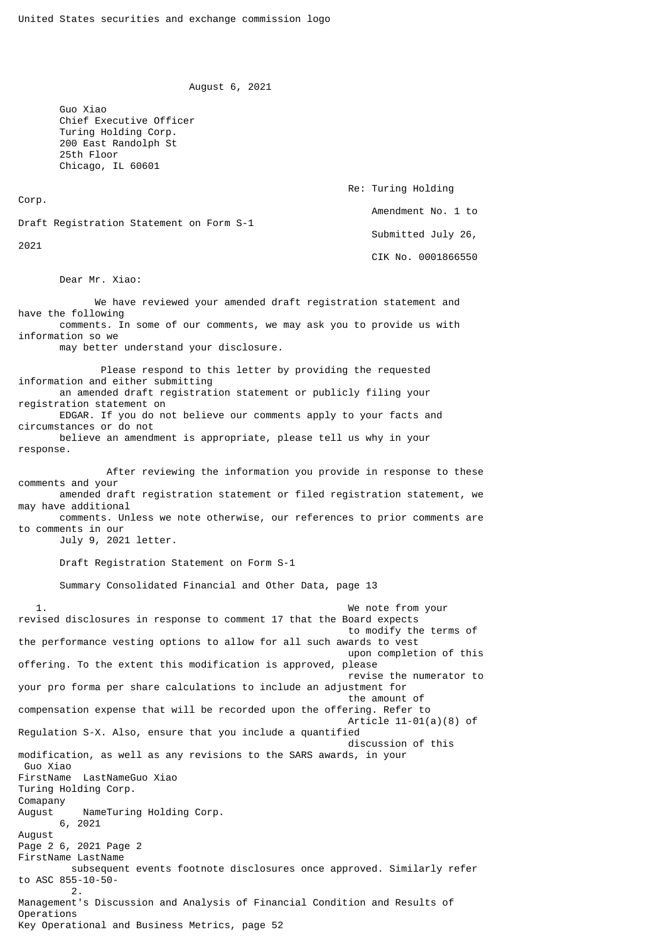August 6, 2021

 Guo Xiao Chief Executive Officer Turing Holding Corp. 200 East Randolph St 25th Floor Chicago, IL 60601

Corp.

Re: Turing Holding

Amendment No. 1 to

Draft Registration Statement on Form S-1

2021

 Submitted July 26, CIK No. 0001866550

Dear Mr. Xiao:

 We have reviewed your amended draft registration statement and have the following comments. In some of our comments, we may ask you to provide us with information so we

may better understand your disclosure.

 Please respond to this letter by providing the requested information and either submitting an amended draft registration statement or publicly filing your registration statement on EDGAR. If you do not believe our comments apply to your facts and circumstances or do not believe an amendment is appropriate, please tell us why in your response. After reviewing the information you provide in response to these

comments and your amended draft registration statement or filed registration statement, we may have additional

 comments. Unless we note otherwise, our references to prior comments are to comments in our

July 9, 2021 letter.

Draft Registration Statement on Form S-1

Summary Consolidated Financial and Other Data, page 13

 1. We note from your revised disclosures in response to comment 17 that the Board expects to modify the terms of the performance vesting options to allow for all such awards to vest upon completion of this offering. To the extent this modification is approved, please revise the numerator to your pro forma per share calculations to include an adjustment for the amount of compensation expense that will be recorded upon the offering. Refer to Article 11-01(a)(8) of Regulation S-X. Also, ensure that you include a quantified discussion of this modification, as well as any revisions to the SARS awards, in your Guo Xiao FirstName LastNameGuo Xiao Turing Holding Corp. Comapany August NameTuring Holding Corp. 6, 2021 August Page 2 6, 2021 Page 2 FirstName LastName subsequent events footnote disclosures once approved. Similarly refer to ASC 855-10-50- 2. Management's Discussion and Analysis of Financial Condition and Results of Operations Key Operational and Business Metrics, page 52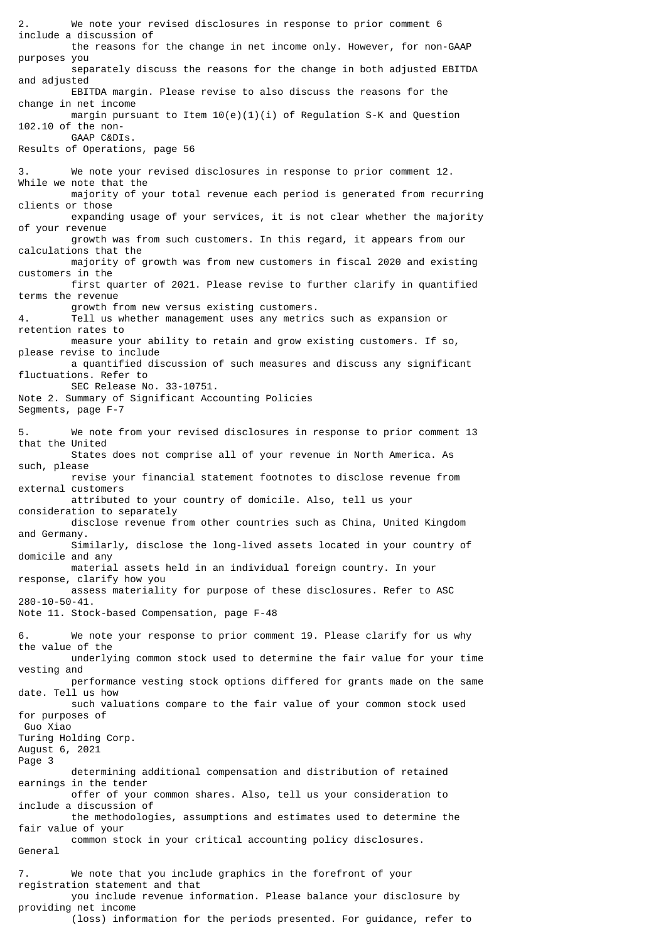We note your revised disclosures in response to prior comment 6 include a discussion of the reasons for the change in net income only. However, for non-GAAP purposes you separately discuss the reasons for the change in both adjusted EBITDA and adjusted EBITDA margin. Please revise to also discuss the reasons for the change in net income margin pursuant to Item  $10(e)(1)(i)$  of Regulation S-K and Question 102.10 of the non- GAAP C&DIs. Results of Operations, page 56 3. We note your revised disclosures in response to prior comment 12. While we note that the majority of your total revenue each period is generated from recurring clients or those expanding usage of your services, it is not clear whether the majority of your revenue growth was from such customers. In this regard, it appears from our calculations that the majority of growth was from new customers in fiscal 2020 and existing customers in the first quarter of 2021. Please revise to further clarify in quantified terms the revenue growth from new versus existing customers. 4. Tell us whether management uses any metrics such as expansion or retention rates to measure your ability to retain and grow existing customers. If so, please revise to include a quantified discussion of such measures and discuss any significant fluctuations. Refer to SEC Release No. 33-10751. Note 2. Summary of Significant Accounting Policies Segments, page F-7 5. We note from your revised disclosures in response to prior comment 13 that the United States does not comprise all of your revenue in North America. As such, please revise your financial statement footnotes to disclose revenue from external customers attributed to your country of domicile. Also, tell us your consideration to separately disclose revenue from other countries such as China, United Kingdom and Germany. Similarly, disclose the long-lived assets located in your country of domicile and any material assets held in an individual foreign country. In your response, clarify how you assess materiality for purpose of these disclosures. Refer to ASC 280-10-50-41. Note 11. Stock-based Compensation, page F-48 6. We note your response to prior comment 19. Please clarify for us why the value of the underlying common stock used to determine the fair value for your time vesting and performance vesting stock options differed for grants made on the same date. Tell us how such valuations compare to the fair value of your common stock used for purposes of Guo Xiao Turing Holding Corp. August 6, 2021 Page 3 determining additional compensation and distribution of retained earnings in the tender offer of your common shares. Also, tell us your consideration to include a discussion of the methodologies, assumptions and estimates used to determine the fair value of your common stock in your critical accounting policy disclosures. General 7. We note that you include graphics in the forefront of your registration statement and that you include revenue information. Please balance your disclosure by providing net income

(loss) information for the periods presented. For guidance, refer to